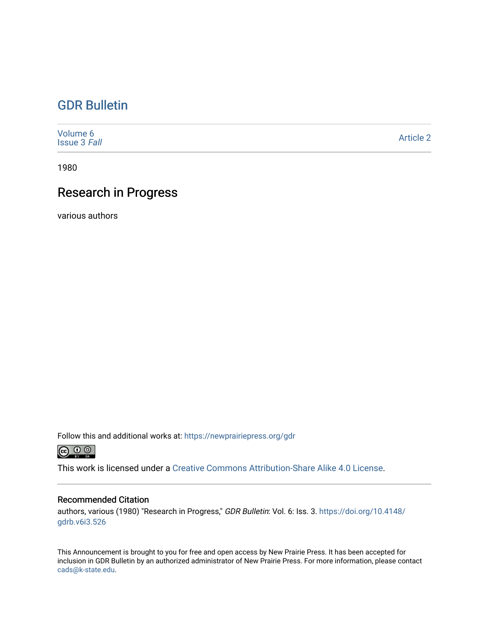### [GDR Bulletin](https://newprairiepress.org/gdr)

[Volume 6](https://newprairiepress.org/gdr/vol6) [Issue 3](https://newprairiepress.org/gdr/vol6/iss3) Fall [Article 2](https://newprairiepress.org/gdr/vol6/iss3/2) 

1980

### Research in Progress

various authors

Follow this and additional works at: [https://newprairiepress.org/gdr](https://newprairiepress.org/gdr?utm_source=newprairiepress.org%2Fgdr%2Fvol6%2Fiss3%2F2&utm_medium=PDF&utm_campaign=PDFCoverPages) 



This work is licensed under a [Creative Commons Attribution-Share Alike 4.0 License.](https://creativecommons.org/licenses/by-sa/4.0/)

### Recommended Citation

authors, various (1980) "Research in Progress," GDR Bulletin: Vol. 6: Iss. 3. [https://doi.org/10.4148/](https://doi.org/10.4148/gdrb.v6i3.526) [gdrb.v6i3.526](https://doi.org/10.4148/gdrb.v6i3.526) 

This Announcement is brought to you for free and open access by New Prairie Press. It has been accepted for inclusion in GDR Bulletin by an authorized administrator of New Prairie Press. For more information, please contact [cads@k-state.edu.](mailto:cads@k-state.edu)